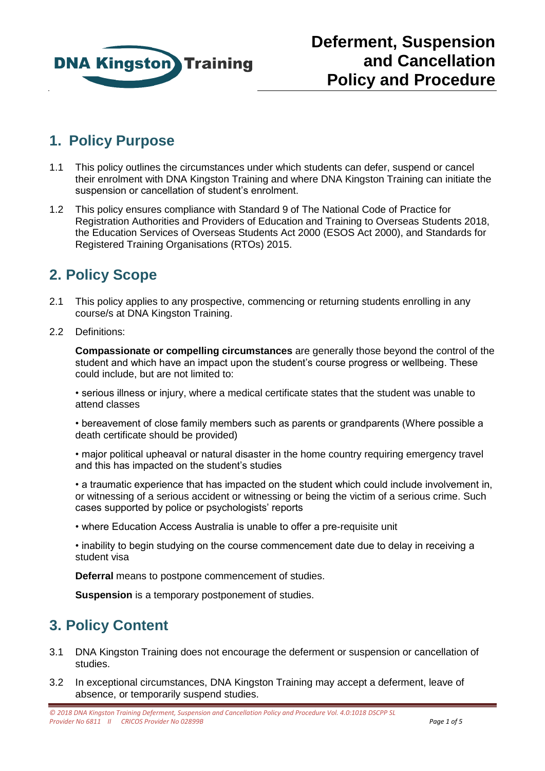

# **1. Policy Purpose**

- 1.1 This policy outlines the circumstances under which students can defer, suspend or cancel their enrolment with DNA Kingston Training and where DNA Kingston Training can initiate the suspension or cancellation of student's enrolment.
- 1.2 This policy ensures compliance with Standard 9 of The National Code of Practice for Registration Authorities and Providers of Education and Training to Overseas Students 2018, the Education Services of Overseas Students Act 2000 (ESOS Act 2000), and Standards for Registered Training Organisations (RTOs) 2015.

# **2. Policy Scope**

- 2.1 This policy applies to any prospective, commencing or returning students enrolling in any course/s at DNA Kingston Training.
- 2.2 Definitions:

**Compassionate or compelling circumstances** are generally those beyond the control of the student and which have an impact upon the student's course progress or wellbeing. These could include, but are not limited to:

• serious illness or injury, where a medical certificate states that the student was unable to attend classes

• bereavement of close family members such as parents or grandparents (Where possible a death certificate should be provided)

• major political upheaval or natural disaster in the home country requiring emergency travel and this has impacted on the student's studies

• a traumatic experience that has impacted on the student which could include involvement in, or witnessing of a serious accident or witnessing or being the victim of a serious crime. Such cases supported by police or psychologists' reports

• where Education Access Australia is unable to offer a pre-requisite unit

• inability to begin studying on the course commencement date due to delay in receiving a student visa

**Deferral** means to postpone commencement of studies.

**Suspension** is a temporary postponement of studies.

# **3. Policy Content**

- 3.1 DNA Kingston Training does not encourage the deferment or suspension or cancellation of studies.
- 3.2 In exceptional circumstances, DNA Kingston Training may accept a deferment, leave of absence, or temporarily suspend studies.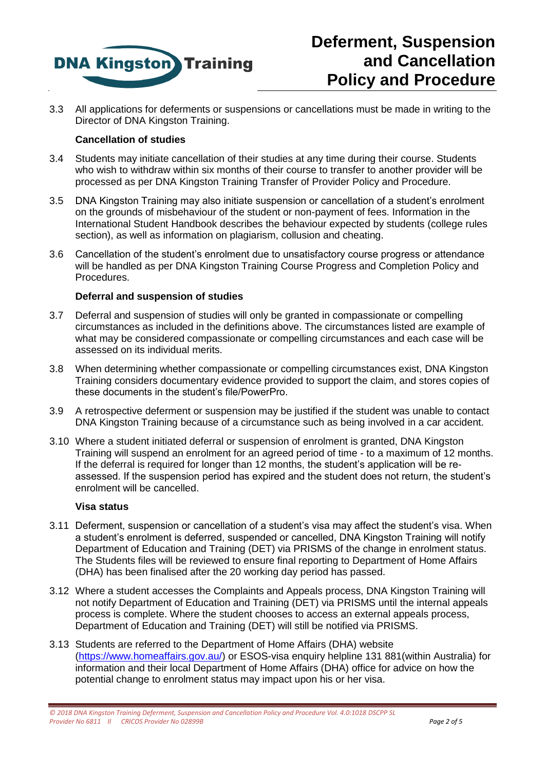

3.3 All applications for deferments or suspensions or cancellations must be made in writing to the Director of DNA Kingston Training.

#### **Cancellation of studies**

- 3.4 Students may initiate cancellation of their studies at any time during their course. Students who wish to withdraw within six months of their course to transfer to another provider will be processed as per DNA Kingston Training Transfer of Provider Policy and Procedure.
- 3.5 DNA Kingston Training may also initiate suspension or cancellation of a student's enrolment on the grounds of misbehaviour of the student or non-payment of fees. Information in the International Student Handbook describes the behaviour expected by students (college rules section), as well as information on plagiarism, collusion and cheating.
- 3.6 Cancellation of the student's enrolment due to unsatisfactory course progress or attendance will be handled as per DNA Kingston Training Course Progress and Completion Policy and Procedures.

#### **Deferral and suspension of studies**

- 3.7 Deferral and suspension of studies will only be granted in compassionate or compelling circumstances as included in the definitions above. The circumstances listed are example of what may be considered compassionate or compelling circumstances and each case will be assessed on its individual merits.
- 3.8 When determining whether compassionate or compelling circumstances exist, DNA Kingston Training considers documentary evidence provided to support the claim, and stores copies of these documents in the student's file/PowerPro.
- 3.9 A retrospective deferment or suspension may be justified if the student was unable to contact DNA Kingston Training because of a circumstance such as being involved in a car accident.
- 3.10 Where a student initiated deferral or suspension of enrolment is granted, DNA Kingston Training will suspend an enrolment for an agreed period of time - to a maximum of 12 months. If the deferral is required for longer than 12 months, the student's application will be reassessed. If the suspension period has expired and the student does not return, the student's enrolment will be cancelled.

#### **Visa status**

- 3.11 Deferment, suspension or cancellation of a student's visa may affect the student's visa. When a student's enrolment is deferred, suspended or cancelled, DNA Kingston Training will notify Department of Education and Training (DET) via PRISMS of the change in enrolment status. The Students files will be reviewed to ensure final reporting to Department of Home Affairs (DHA) has been finalised after the 20 working day period has passed.
- 3.12 Where a student accesses the Complaints and Appeals process, DNA Kingston Training will not notify Department of Education and Training (DET) via PRISMS until the internal appeals process is complete. Where the student chooses to access an external appeals process, Department of Education and Training (DET) will still be notified via PRISMS.
- 3.13 Students are referred to the Department of Home Affairs (DHA) website [\(https://www.homeaffairs.gov.au/\)](https://www.homeaffairs.gov.au/) or ESOS-visa enquiry helpline 131 881(within Australia) for information and their local Department of Home Affairs (DHA) office for advice on how the potential change to enrolment status may impact upon his or her visa.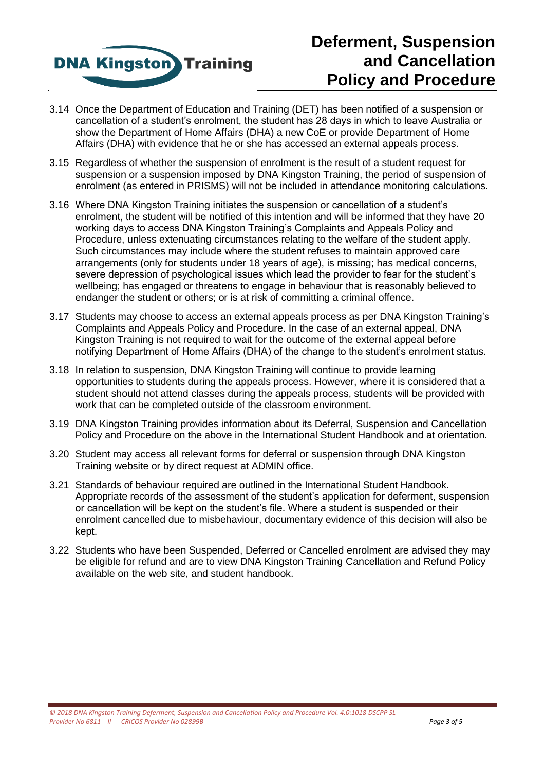

# **Deferment, Suspension and Cancellation Policy and Procedure**

- 3.14 Once the Department of Education and Training (DET) has been notified of a suspension or cancellation of a student's enrolment, the student has 28 days in which to leave Australia or show the Department of Home Affairs (DHA) a new CoE or provide Department of Home Affairs (DHA) with evidence that he or she has accessed an external appeals process.
- 3.15 Regardless of whether the suspension of enrolment is the result of a student request for suspension or a suspension imposed by DNA Kingston Training, the period of suspension of enrolment (as entered in PRISMS) will not be included in attendance monitoring calculations.
- 3.16 Where DNA Kingston Training initiates the suspension or cancellation of a student's enrolment, the student will be notified of this intention and will be informed that they have 20 working days to access DNA Kingston Training's Complaints and Appeals Policy and Procedure, unless extenuating circumstances relating to the welfare of the student apply. Such circumstances may include where the student refuses to maintain approved care arrangements (only for students under 18 years of age), is missing; has medical concerns, severe depression of psychological issues which lead the provider to fear for the student's wellbeing; has engaged or threatens to engage in behaviour that is reasonably believed to endanger the student or others; or is at risk of committing a criminal offence.
- 3.17 Students may choose to access an external appeals process as per DNA Kingston Training's Complaints and Appeals Policy and Procedure. In the case of an external appeal, DNA Kingston Training is not required to wait for the outcome of the external appeal before notifying Department of Home Affairs (DHA) of the change to the student's enrolment status.
- 3.18 In relation to suspension, DNA Kingston Training will continue to provide learning opportunities to students during the appeals process. However, where it is considered that a student should not attend classes during the appeals process, students will be provided with work that can be completed outside of the classroom environment.
- 3.19 DNA Kingston Training provides information about its Deferral, Suspension and Cancellation Policy and Procedure on the above in the International Student Handbook and at orientation.
- 3.20 Student may access all relevant forms for deferral or suspension through DNA Kingston Training website or by direct request at ADMIN office.
- 3.21 Standards of behaviour required are outlined in the International Student Handbook. Appropriate records of the assessment of the student's application for deferment, suspension or cancellation will be kept on the student's file. Where a student is suspended or their enrolment cancelled due to misbehaviour, documentary evidence of this decision will also be kept.
- 3.22 Students who have been Suspended, Deferred or Cancelled enrolment are advised they may be eligible for refund and are to view DNA Kingston Training Cancellation and Refund Policy available on the web site, and student handbook.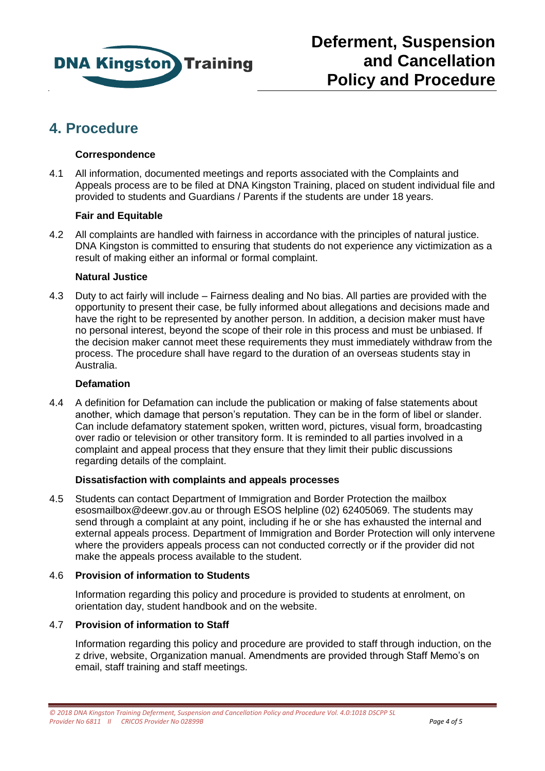

# **4. Procedure**

## **Correspondence**

4.1 All information, documented meetings and reports associated with the Complaints and Appeals process are to be filed at DNA Kingston Training, placed on student individual file and provided to students and Guardians / Parents if the students are under 18 years.

## **Fair and Equitable**

4.2 All complaints are handled with fairness in accordance with the principles of natural justice. DNA Kingston is committed to ensuring that students do not experience any victimization as a result of making either an informal or formal complaint.

## **Natural Justice**

4.3 Duty to act fairly will include – Fairness dealing and No bias. All parties are provided with the opportunity to present their case, be fully informed about allegations and decisions made and have the right to be represented by another person. In addition, a decision maker must have no personal interest, beyond the scope of their role in this process and must be unbiased. If the decision maker cannot meet these requirements they must immediately withdraw from the process. The procedure shall have regard to the duration of an overseas students stay in Australia.

## **Defamation**

4.4 A definition for Defamation can include the publication or making of false statements about another, which damage that person's reputation. They can be in the form of libel or slander. Can include defamatory statement spoken, written word, pictures, visual form, broadcasting over radio or television or other transitory form. It is reminded to all parties involved in a complaint and appeal process that they ensure that they limit their public discussions regarding details of the complaint.

### **Dissatisfaction with complaints and appeals processes**

4.5 Students can contact Department of Immigration and Border Protection the mailbox [esosmailbox@deewr.gov.au](mailto:esosmailbox@deewr.gov.au) or through ESOS helpline (02) 62405069. The students may send through a complaint at any point, including if he or she has exhausted the internal and external appeals process. Department of Immigration and Border Protection will only intervene where the providers appeals process can not conducted correctly or if the provider did not make the appeals process available to the student.

### 4.6 **Provision of information to Students**

Information regarding this policy and procedure is provided to students at enrolment, on orientation day, student handbook and on the website.

### 4.7 **Provision of information to Staff**

Information regarding this policy and procedure are provided to staff through induction, on the z drive, website, Organization manual. Amendments are provided through Staff Memo's on email, staff training and staff meetings.